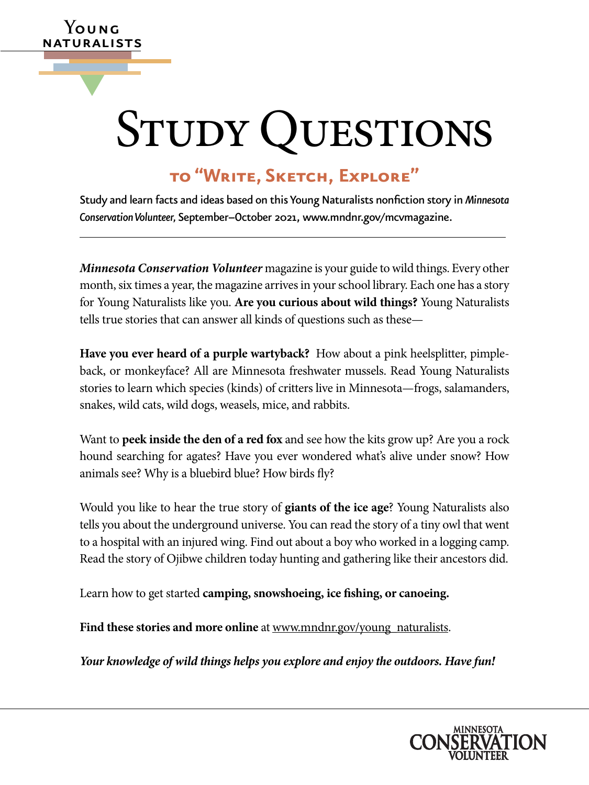# STUDY QUESTIONS

# **to "Write, Sketch, Explore"**

**Y**oung naturalists

▼

Study and learn facts and ideas based on this Young Naturalists nonfiction story in *Minnesota Conservation Volunteer,* September–October 2021, [www.mndnr.gov/mcvmagazine.](http://www.mndnr.gov/mcvmagazine)

*Minnesota Conservation Volunteer* magazine is your guide to wild things. Every other month, six times a year, the magazine arrives in your school library. Each one has a story for Young Naturalists like you. **Are you curious about wild things?** Young Naturalists tells true stories that can answer all kinds of questions such as these—

**Have you ever heard of a purple wartyback?** How about a pink heelsplitter, pimpleback, or monkeyface? All are Minnesota freshwater mussels. Read Young Naturalists stories to learn which species (kinds) of critters live in Minnesota—frogs, salamanders, snakes, wild cats, wild dogs, weasels, mice, and rabbits.

Want to **peek inside the den of a red fox** and see how the kits grow up? Are you a rock hound searching for agates? Have you ever wondered what's alive under snow? How animals see? Why is a bluebird blue? How birds fly?

Would you like to hear the true story of **giants of the ice age**? Young Naturalists also tells you about the underground universe. You can read the story of a tiny owl that went to a hospital with an injured wing. Find out about a boy who worked in a logging camp. Read the story of Ojibwe children today hunting and gathering like their ancestors did.

Learn how to get started **camping, snowshoeing, ice fishing, or canoeing.**

Find these stories and more online at [www.mndnr.gov/young\\_naturalists](http://www.dnr.state.mn.us/mcvmagazine/young-naturalists.html).

*Your knowledge of wild things helps you explore and enjoy the outdoors. Have fun!*

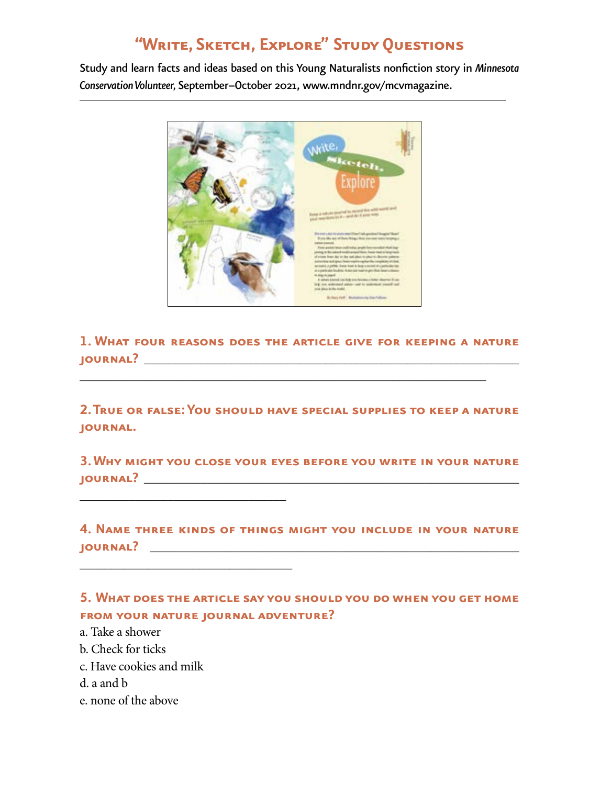# **"Write, Sketch, Explore" Study Questions**

Study and learn facts and ideas based on this Young Naturalists nonfiction story in *Minnesota Conservation Volunteer,* September–October 2021, [www.mndnr.gov/mcvmagazine.](http://www.mndnr.gov/mcvmagazine)



**1. What four reasons does the article give for keeping a nature journal?** \_\_\_\_\_\_\_\_\_\_\_\_\_\_\_\_\_\_\_\_\_\_\_\_\_\_\_\_\_\_\_\_\_\_\_\_\_\_\_\_\_\_\_\_\_\_\_\_\_\_\_\_\_\_\_\_\_\_\_\_

\_\_\_\_\_\_\_\_\_\_\_\_\_\_\_\_\_\_\_\_\_\_\_\_\_\_\_\_\_\_\_\_\_\_\_\_\_\_\_\_\_\_\_\_\_\_\_\_\_\_\_\_\_\_\_\_\_\_\_\_\_\_\_\_\_

**2. True or false: You should have special supplies to keep a nature journal.** 

**3. Why might you close your eyes before you write in your nature journal?** \_\_\_\_\_\_\_\_\_\_\_\_\_\_\_\_\_\_\_\_\_\_\_\_\_\_\_\_\_\_\_\_\_\_\_\_\_\_\_\_\_\_\_\_\_\_\_\_\_\_\_\_\_\_\_\_\_\_\_\_

**4. Name three kinds of things might you include in your nature journal?** \_\_\_\_\_\_\_\_\_\_\_\_\_\_\_\_\_\_\_\_\_\_\_\_\_\_\_\_\_\_\_\_\_\_\_\_\_\_\_\_\_\_\_\_\_\_\_\_\_\_\_\_\_\_\_\_\_\_\_

**5. What does the article say you should you do when you get home from your nature journal adventure?**

- a. Take a shower
- b. Check for ticks
- c. Have cookies and milk

\_\_\_\_\_\_\_\_\_\_\_\_\_\_\_\_\_\_\_\_\_\_\_\_\_\_\_\_\_\_\_\_\_

\_\_\_\_\_\_\_\_\_\_\_\_\_\_\_\_\_\_\_\_\_\_\_\_\_\_\_\_\_\_\_\_\_\_

- d. a and b
- e. none of the above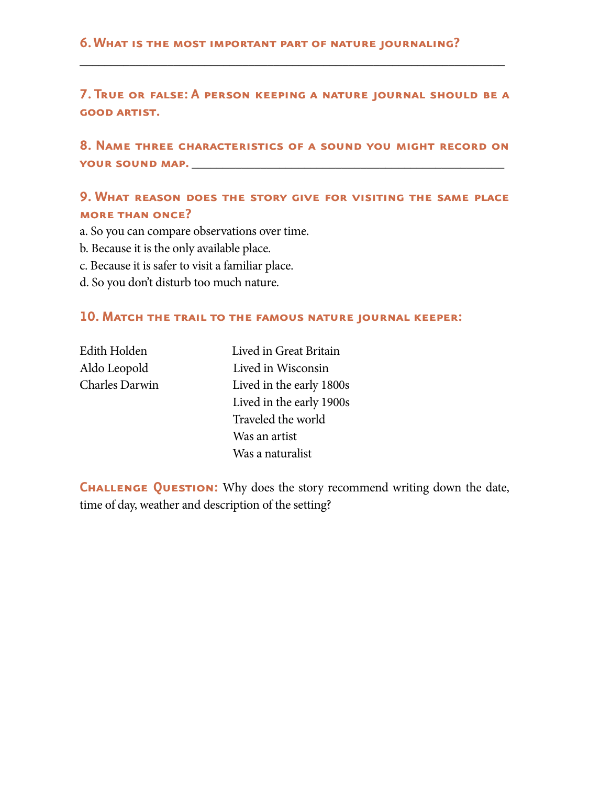#### **6. What is the most important part of nature journaling?**

**7. True or false: A person keeping a nature journal should be a good artist.** 

\_\_\_\_\_\_\_\_\_\_\_\_\_\_\_\_\_\_\_\_\_\_\_\_\_\_\_\_\_\_\_\_\_\_\_\_\_\_\_\_\_\_\_\_\_\_\_\_\_\_\_\_\_\_\_\_\_\_\_\_\_\_\_\_\_\_\_\_

**8. Name three characteristics of a sound you might record on your sound map.** \_\_\_\_\_\_\_\_\_\_\_\_\_\_\_\_\_\_\_\_\_\_\_\_\_\_\_\_\_\_\_\_\_\_\_\_\_\_\_\_\_\_\_\_\_\_\_\_\_\_

## **9. What reason does the story give for visiting the same place more than once?**

a. So you can compare observations over time.

- b. Because it is the only available place.
- c. Because it is safer to visit a familiar place.
- d. So you don't disturb too much nature.

#### **10. Match the trail to the famous nature journal keeper:**

| <b>Edith Holden</b>   |
|-----------------------|
| Aldo Leopold          |
| <b>Charles Darwin</b> |

Lived in Great Britain Lived in Wisconsin Lived in the early 1800s Lived in the early 1900s Traveled the world Was an artist Was a naturalist

**CHALLENGE QUESTION:** Why does the story recommend writing down the date, time of day, weather and description of the setting?